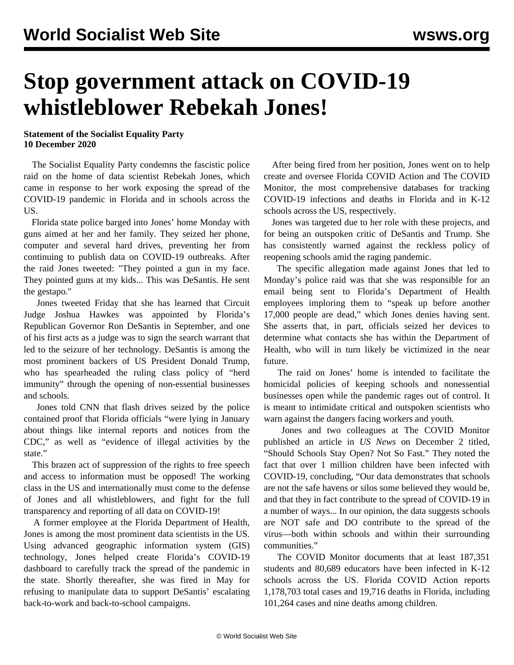## **Stop government attack on COVID-19 whistleblower Rebekah Jones!**

## **Statement of the Socialist Equality Party 10 December 2020**

 The Socialist Equality Party condemns the fascistic police raid on the home of data scientist Rebekah Jones, which came in response to her work exposing the spread of the COVID-19 pandemic in Florida and in schools across the US.

 Florida state police [barged into Jones' home Monday](https://twitter.com/GeoRebekah/status/1336065787900145665) with guns aimed at her and her family. They seized her phone, computer and several hard drives, preventing her from continuing to publish data on COVID-19 outbreaks. After the raid Jones tweeted: "They pointed a gun in my face. They pointed guns at my kids... This was DeSantis. He sent the gestapo."

 Jones tweeted Friday that she has learned that Circuit Judge Joshua Hawkes was appointed by Florida's Republican Governor Ron DeSantis in September, and one of his first acts as a judge was to sign the search warrant that led to the seizure of her technology. DeSantis is among the most prominent backers of US President Donald Trump, who has spearheaded the ruling class policy of "herd immunity" through the opening of non-essential businesses and schools.

 Jones told CNN that flash drives seized by the police contained proof that Florida officials "were lying in January about things like internal reports and notices from the CDC," as well as "evidence of illegal activities by the state."

 This brazen act of suppression of the rights to free speech and access to information must be opposed! The working class in the US and internationally must come to the defense of Jones and all whistleblowers, and fight for the full transparency and reporting of all data on COVID-19!

 A former employee at the Florida Department of Health, Jones is among the most prominent data scientists in the US. Using advanced geographic information system (GIS) technology, Jones helped create Florida's COVID-19 dashboard to carefully track the spread of the pandemic in the state. Shortly thereafter, she was fired in May for refusing to manipulate data to support DeSantis' escalating back-to-work and back-to-school campaigns.

 After being fired from her position, Jones went on to help create and oversee Florida COVID Action and The COVID Monitor, the most comprehensive databases for tracking COVID-19 infections and deaths in Florida and in K-12 schools across the US, respectively.

 Jones was targeted due to her role with these projects, and for being an outspoken critic of DeSantis and Trump. She has consistently warned against the reckless policy of reopening schools amid the raging pandemic.

 The specific allegation made against Jones that led to Monday's police raid was that she was responsible for an email being sent to Florida's Department of Health employees imploring them to "speak up before another 17,000 people are dead," which Jones denies having sent. She asserts that, in part, officials seized her devices to determine what contacts she has within the Department of Health, who will in turn likely be victimized in the near future.

 The raid on Jones' home is intended to facilitate the homicidal policies of keeping schools and nonessential businesses open while the pandemic rages out of control. It is meant to intimidate critical and outspoken scientists who warn against the dangers facing workers and youth.

 Jones and two colleagues at The COVID Monitor published an article in *US News* on December 2 titled, "Should Schools Stay Open? Not So Fast." They noted the fact that over 1 million children have been infected with COVID-19, concluding, "Our data demonstrates that schools are not the safe havens or silos some believed they would be, and that they in fact contribute to the spread of COVID-19 in a number of ways... In our opinion, the data suggests schools are NOT safe and DO contribute to the spread of the virus—both within schools and within their surrounding communities."

 The COVID Monitor documents that at least 187,351 students and 80,689 educators have been infected in K-12 schools across the US. Florida COVID Action reports 1,178,703 total cases and 19,716 deaths in Florida, including 101,264 cases and nine deaths among children.